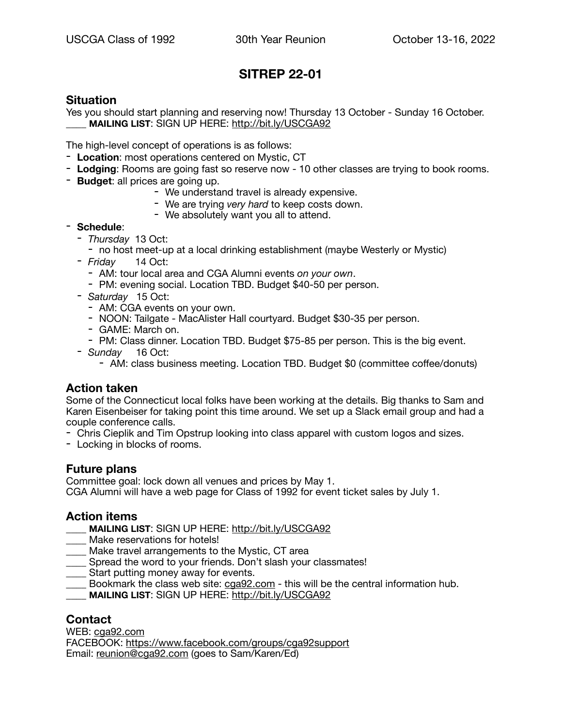# **SITREP 22-01**

## **Situation**

Yes you should start planning and reserving now! Thursday 13 October - Sunday 16 October. \_\_\_\_ **MAILING LIST**: SIGN UP HERE: <http://bit.ly/USCGA92>

The high-level concept of operations is as follows:

- **Location**: most operations centered on Mystic, CT
- **Lodging**: Rooms are going fast so reserve now 10 other classes are trying to book rooms.
- **Budget**: all prices are going up.
	- We understand travel is already expensive.
	- We are trying *very hard* to keep costs down.
	- We absolutely want you all to attend.

## - **Schedule**:

- *Thursday* 13 Oct:
	- no host meet-up at a local drinking establishment (maybe Westerly or Mystic)
- *Friday* 14 Oct:
	- AM: tour local area and CGA Alumni events *on your own*.
	- PM: evening social. Location TBD. Budget \$40-50 per person.
- *Saturday* 15 Oct:
	- AM: CGA events on your own.
	- NOON: Tailgate MacAlister Hall courtyard. Budget \$30-35 per person.
	- GAME: March on.
	- PM: Class dinner. Location TBD. Budget \$75-85 per person. This is the big event.
- *Sunday* 16 Oct:
	- AM: class business meeting. Location TBD. Budget \$0 (committee coffee/donuts)

## **Action taken**

Some of the Connecticut local folks have been working at the details. Big thanks to Sam and Karen Eisenbeiser for taking point this time around. We set up a Slack email group and had a couple conference calls.

- Chris Cieplik and Tim Opstrup looking into class apparel with custom logos and sizes.
- Locking in blocks of rooms.

## **Future plans**

Committee goal: lock down all venues and prices by May 1.

CGA Alumni will have a web page for Class of 1992 for event ticket sales by July 1.

## **Action items**

- \_\_\_\_ **MAILING LIST**: SIGN UP HERE: <http://bit.ly/USCGA92>
- Make reservations for hotels!
- Make travel arrangements to the Mystic, CT area
- \_\_\_\_ Spread the word to your friends. Don't slash your classmates!
- Start putting money away for events.
- $\Box$  Bookmark the class web site:  $c$ ga92.com this will be the central information hub.
- \_\_\_\_ **MAILING LIST**: SIGN UP HERE: <http://bit.ly/USCGA92>

## **Contact**

WEB: [cga92.com](http://cga92.com) FACEBOOK:<https://www.facebook.com/groups/cga92support> Email: [reunion@cga92.com](mailto:reunion@cga92.com) (goes to Sam/Karen/Ed)